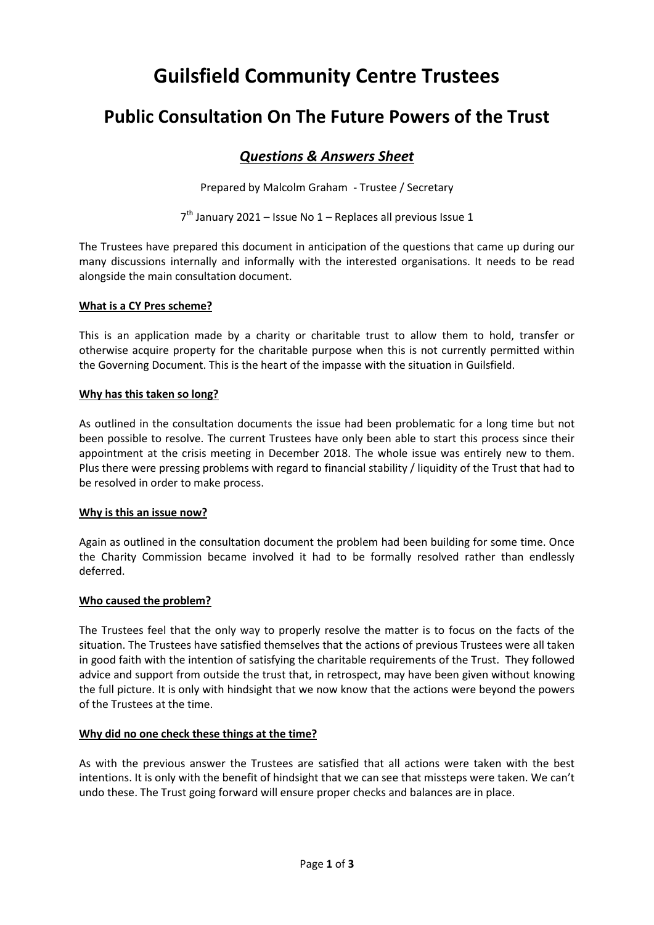# **Guilsfield Community Centre Trustees**

## **Public Consultation On The Future Powers of the Trust**

### *Questions & Answers Sheet*

Prepared by Malcolm Graham - Trustee / Secretary

7<sup>th</sup> January 2021 - Issue No 1 - Replaces all previous Issue 1

The Trustees have prepared this document in anticipation of the questions that came up during our many discussions internally and informally with the interested organisations. It needs to be read alongside the main consultation document.

#### **What is a CY Pres scheme?**

This is an application made by a charity or charitable trust to allow them to hold, transfer or otherwise acquire property for the charitable purpose when this is not currently permitted within the Governing Document. This is the heart of the impasse with the situation in Guilsfield.

#### **Why has this taken so long?**

As outlined in the consultation documents the issue had been problematic for a long time but not been possible to resolve. The current Trustees have only been able to start this process since their appointment at the crisis meeting in December 2018. The whole issue was entirely new to them. Plus there were pressing problems with regard to financial stability / liquidity of the Trust that had to be resolved in order to make process.

#### **Why is this an issue now?**

Again as outlined in the consultation document the problem had been building for some time. Once the Charity Commission became involved it had to be formally resolved rather than endlessly deferred.

#### **Who caused the problem?**

The Trustees feel that the only way to properly resolve the matter is to focus on the facts of the situation. The Trustees have satisfied themselves that the actions of previous Trustees were all taken in good faith with the intention of satisfying the charitable requirements of the Trust. They followed advice and support from outside the trust that, in retrospect, may have been given without knowing the full picture. It is only with hindsight that we now know that the actions were beyond the powers of the Trustees at the time.

#### **Why did no one check these things at the time?**

As with the previous answer the Trustees are satisfied that all actions were taken with the best intentions. It is only with the benefit of hindsight that we can see that missteps were taken. We can't undo these. The Trust going forward will ensure proper checks and balances are in place.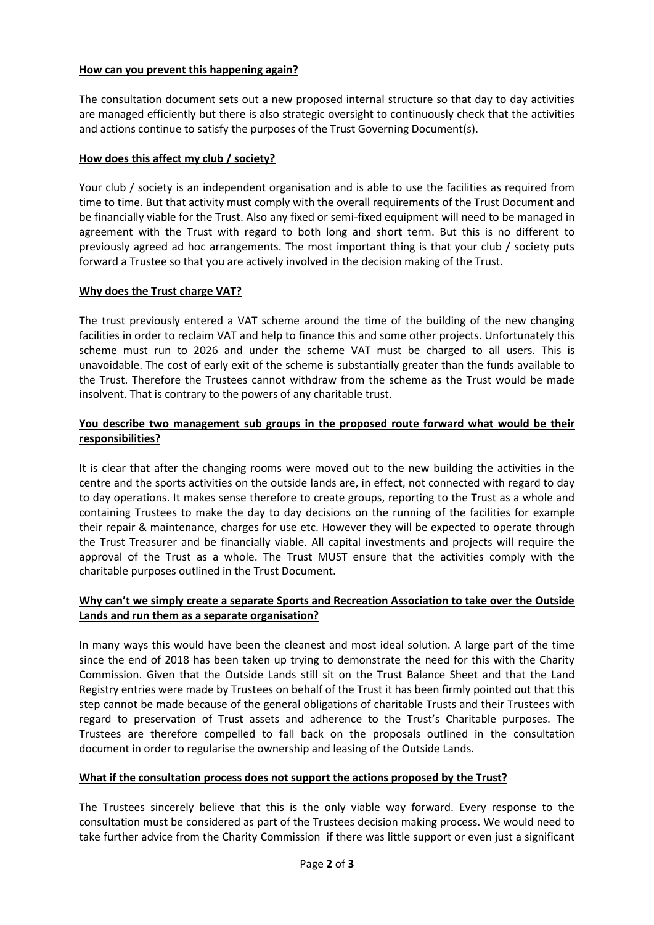#### **How can you prevent this happening again?**

The consultation document sets out a new proposed internal structure so that day to day activities are managed efficiently but there is also strategic oversight to continuously check that the activities and actions continue to satisfy the purposes of the Trust Governing Document(s).

#### **How does this affect my club / society?**

Your club / society is an independent organisation and is able to use the facilities as required from time to time. But that activity must comply with the overall requirements of the Trust Document and be financially viable for the Trust. Also any fixed or semi-fixed equipment will need to be managed in agreement with the Trust with regard to both long and short term. But this is no different to previously agreed ad hoc arrangements. The most important thing is that your club / society puts forward a Trustee so that you are actively involved in the decision making of the Trust.

#### **Why does the Trust charge VAT?**

The trust previously entered a VAT scheme around the time of the building of the new changing facilities in order to reclaim VAT and help to finance this and some other projects. Unfortunately this scheme must run to 2026 and under the scheme VAT must be charged to all users. This is unavoidable. The cost of early exit of the scheme is substantially greater than the funds available to the Trust. Therefore the Trustees cannot withdraw from the scheme as the Trust would be made insolvent. That is contrary to the powers of any charitable trust.

#### **You describe two management sub groups in the proposed route forward what would be their responsibilities?**

It is clear that after the changing rooms were moved out to the new building the activities in the centre and the sports activities on the outside lands are, in effect, not connected with regard to day to day operations. It makes sense therefore to create groups, reporting to the Trust as a whole and containing Trustees to make the day to day decisions on the running of the facilities for example their repair & maintenance, charges for use etc. However they will be expected to operate through the Trust Treasurer and be financially viable. All capital investments and projects will require the approval of the Trust as a whole. The Trust MUST ensure that the activities comply with the charitable purposes outlined in the Trust Document.

#### **Why can't we simply create a separate Sports and Recreation Association to take over the Outside Lands and run them as a separate organisation?**

In many ways this would have been the cleanest and most ideal solution. A large part of the time since the end of 2018 has been taken up trying to demonstrate the need for this with the Charity Commission. Given that the Outside Lands still sit on the Trust Balance Sheet and that the Land Registry entries were made by Trustees on behalf of the Trust it has been firmly pointed out that this step cannot be made because of the general obligations of charitable Trusts and their Trustees with regard to preservation of Trust assets and adherence to the Trust's Charitable purposes. The Trustees are therefore compelled to fall back on the proposals outlined in the consultation document in order to regularise the ownership and leasing of the Outside Lands.

#### **What if the consultation process does not support the actions proposed by the Trust?**

The Trustees sincerely believe that this is the only viable way forward. Every response to the consultation must be considered as part of the Trustees decision making process. We would need to take further advice from the Charity Commission if there was little support or even just a significant